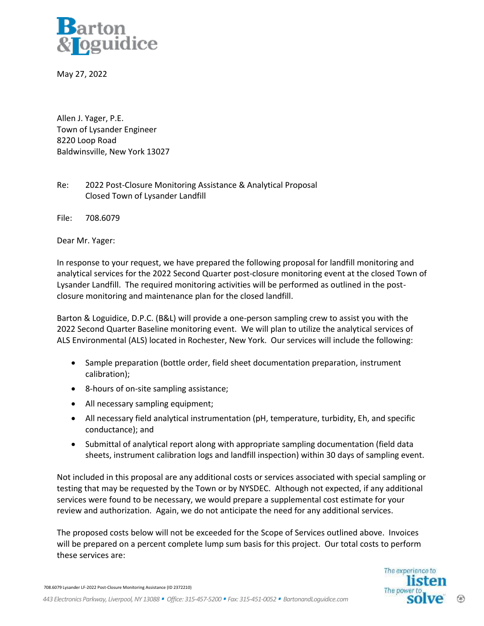

May 27, 2022

Allen J. Yager, P.E. Town of Lysander Engineer 8220 Loop Road Baldwinsville, New York 13027

Re: 2022 Post-Closure Monitoring Assistance & Analytical Proposal Closed Town of Lysander Landfill

File: 708.6079

Dear Mr. Yager:

In response to your request, we have prepared the following proposal for landfill monitoring and analytical services for the 2022 Second Quarter post-closure monitoring event at the closed Town of Lysander Landfill. The required monitoring activities will be performed as outlined in the postclosure monitoring and maintenance plan for the closed landfill.

Barton & Loguidice, D.P.C. (B&L) will provide a one-person sampling crew to assist you with the 2022 Second Quarter Baseline monitoring event. We will plan to utilize the analytical services of ALS Environmental (ALS) located in Rochester, New York. Our services will include the following:

- Sample preparation (bottle order, field sheet documentation preparation, instrument calibration);
- 8-hours of on-site sampling assistance;
- All necessary sampling equipment;
- All necessary field analytical instrumentation (pH, temperature, turbidity, Eh, and specific conductance); and
- Submittal of analytical report along with appropriate sampling documentation (field data sheets, instrument calibration logs and landfill inspection) within 30 days of sampling event.

Not included in this proposal are any additional costs or services associated with special sampling or testing that may be requested by the Town or by NYSDEC. Although not expected, if any additional services were found to be necessary, we would prepare a supplemental cost estimate for your review and authorization. Again, we do not anticipate the need for any additional services.

The proposed costs below will not be exceeded for the Scope of Services outlined above. Invoices will be prepared on a percent complete lump sum basis for this project. Our total costs to perform these services are:

708.6079 Lysander LF-2022 Post-Closure Monitoring Assistance (ID 2372210)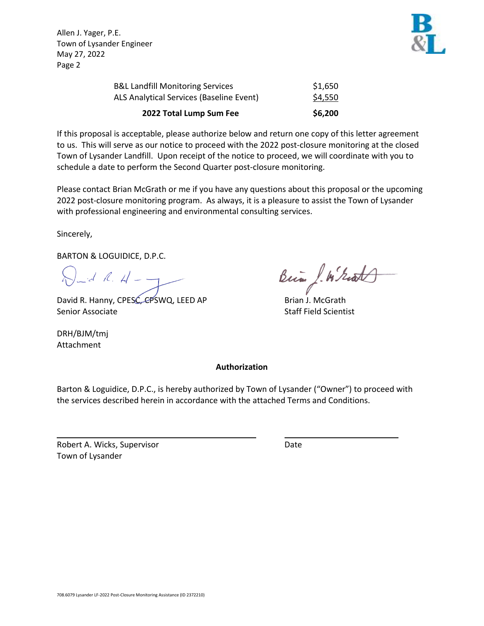Allen J. Yager, P.E. Town of Lysander Engineer May 27, 2022 Page 2



If this proposal is acceptable, please authorize below and return one copy of this letter agreement to us. This will serve as our notice to proceed with the 2022 post-closure monitoring at the closed Town of Lysander Landfill. Upon receipt of the notice to proceed, we will coordinate with you to schedule a date to perform the Second Quarter post-closure monitoring.

Please contact Brian McGrath or me if you have any questions about this proposal or the upcoming 2022 post-closure monitoring program. As always, it is a pleasure to assist the Town of Lysander with professional engineering and environmental consulting services.

Sincerely,

BARTON & LOGUIDICE, D.P.C.

 $\bigvee_{n\geq d} A_{n}A-\frac{1}{d}$ 

David R. Hanny, CPESC, CPSWQ, LEED AP **Brian J. McGrath** Senior Associate Staff Field Scientist

DRH/BJM/tmj Attachment

Bin J. W. Grats

# **Authorization**

Barton & Loguidice, D.P.C., is hereby authorized by Town of Lysander ("Owner") to proceed with the services described herein in accordance with the attached Terms and Conditions.

Robert A. Wicks, Supervisor **Date** Town of Lysander